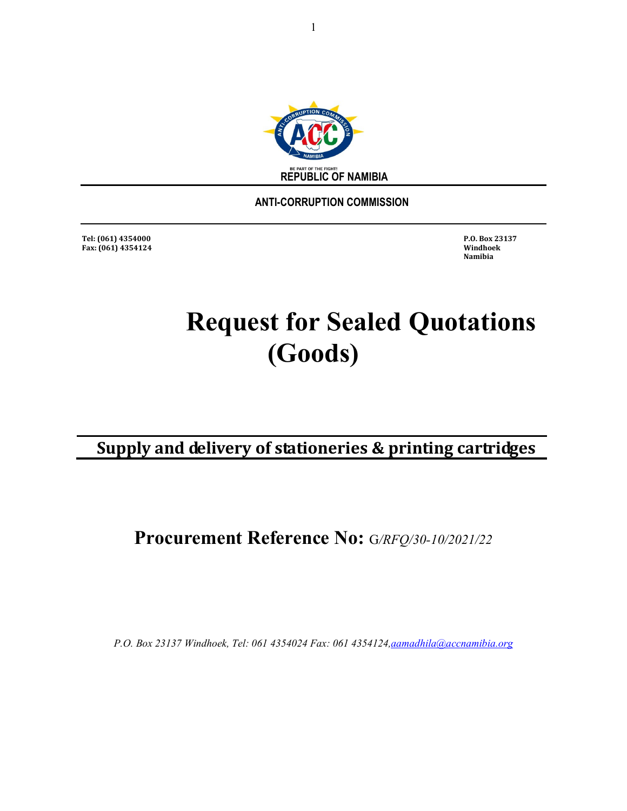

 **ANTI-CORRUPTION COMMISSION** 

**Tel: (061) 4354000 P.O. Box 23137 Fax: (061) 4354124 Windhoek** 

 **Namibia** 

# **Request for Sealed Quotations (Goods)**

**Supply and delivery of stationeries & printing cartridges**

**Procurement Reference No:** G*/RFQ/30-10/2021/22*

*P.O. Box 23137 Windhoek, Tel: 061 4354024 Fax: 061 4354124,aamadhila@accnamibia.org*

1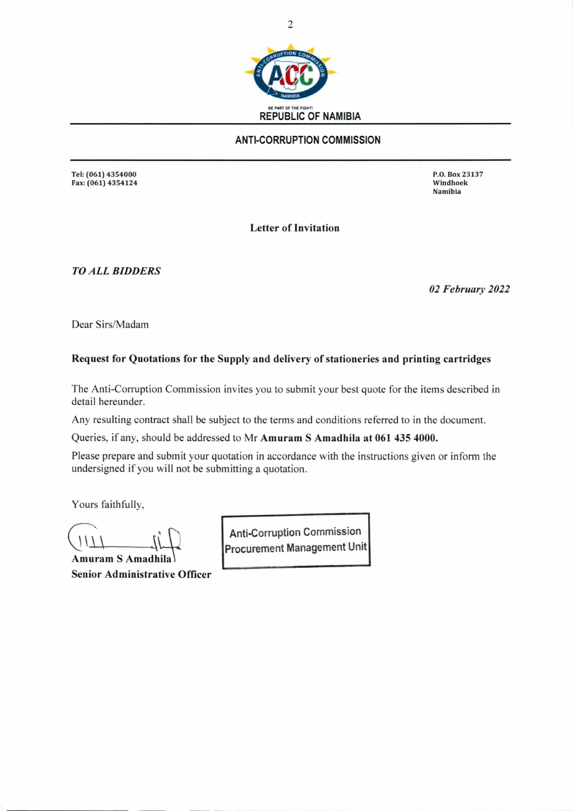

#### **ANTI-CORRUPTION COMMISSION**

Tel: (061) 4354000 P.O. Box 23137 Fax: (061) 4354124

Namibia

**Letter of Invitation** 

*TO ALL BIDDERS* 

*02 February 2022* 

Dear Sirs/Madam

#### **Request for Quotations for the Supply and delivery of stationeries and printing cartridges**

The Anti-Corruption Commission invites you to submit your best quote for the items described in detail hereunder.

Any resulting contract shall be subject to the terms and conditions referred to in the document.

Queries, if any, should be addressed to Mr **Amuram S Amadhila at 061 435 4000.** 

Please prepare and submit your quotation in accordance with the instructions given or inform the undersigned if you will not be submitting a quotation.

Yours faithfully,

**Amuram S Amadhila Senior Administrative Officer** 

**Procurement Management Unit Anti-Corruption Commission**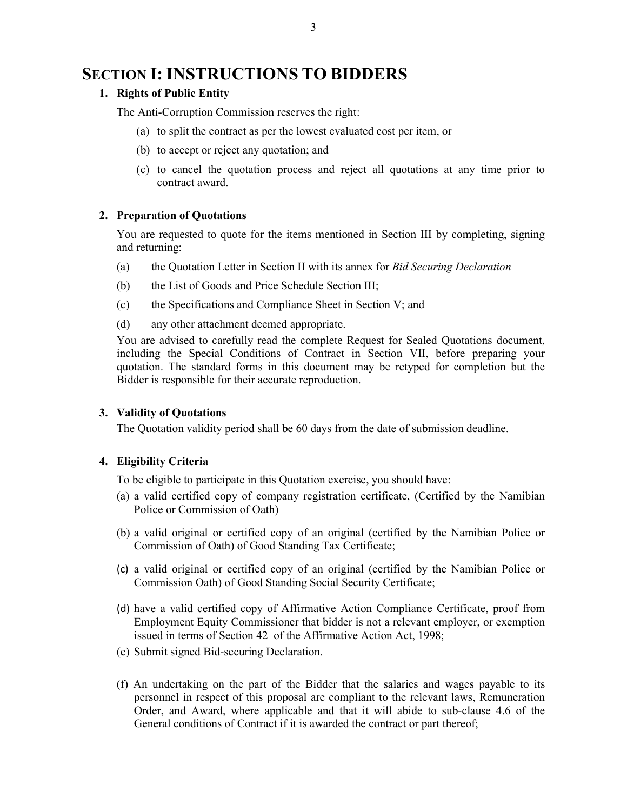### **SECTION I: INSTRUCTIONS TO BIDDERS**

#### **1. Rights of Public Entity**

The Anti-Corruption Commission reserves the right:

- (a) to split the contract as per the lowest evaluated cost per item, or
- (b) to accept or reject any quotation; and
- (c) to cancel the quotation process and reject all quotations at any time prior to contract award.

#### **2. Preparation of Quotations**

You are requested to quote for the items mentioned in Section III by completing, signing and returning:

- (a) the Quotation Letter in Section II with its annex for *Bid Securing Declaration*
- (b) the List of Goods and Price Schedule Section III;
- (c) the Specifications and Compliance Sheet in Section V; and
- (d) any other attachment deemed appropriate.

You are advised to carefully read the complete Request for Sealed Quotations document, including the Special Conditions of Contract in Section VII, before preparing your quotation. The standard forms in this document may be retyped for completion but the Bidder is responsible for their accurate reproduction.

#### **3. Validity of Quotations**

The Quotation validity period shall be 60 days from the date of submission deadline.

#### **4. Eligibility Criteria**

To be eligible to participate in this Quotation exercise, you should have:

- (a) a valid certified copy of company registration certificate, (Certified by the Namibian Police or Commission of Oath)
- (b) a valid original or certified copy of an original (certified by the Namibian Police or Commission of Oath) of Good Standing Tax Certificate;
- (c) a valid original or certified copy of an original (certified by the Namibian Police or Commission Oath) of Good Standing Social Security Certificate;
- (d) have a valid certified copy of Affirmative Action Compliance Certificate, proof from Employment Equity Commissioner that bidder is not a relevant employer, or exemption issued in terms of Section 42 of the Affirmative Action Act, 1998;
- (e) Submit signed Bid-securing Declaration.
- (f) An undertaking on the part of the Bidder that the salaries and wages payable to its personnel in respect of this proposal are compliant to the relevant laws, Remuneration Order, and Award, where applicable and that it will abide to sub-clause 4.6 of the General conditions of Contract if it is awarded the contract or part thereof;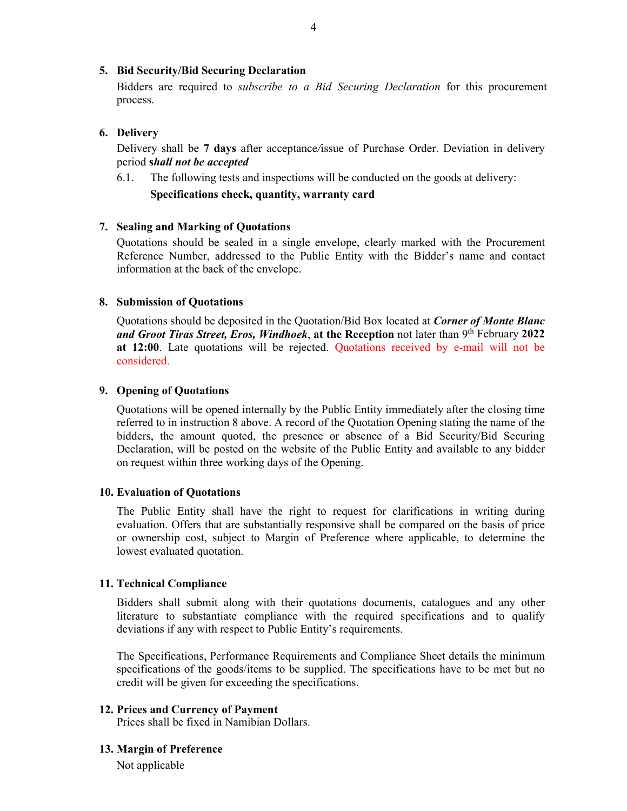#### **5. Bid Security/Bid Securing Declaration**

Bidders are required to *subscribe to a Bid Securing Declaration* for this procurement process.

#### **6. Delivery**

Delivery shall be **7 days** after acceptance*/*issue of Purchase Order. Deviation in delivery period **s***hall not be accepted* 

6.1. The following tests and inspections will be conducted on the goods at delivery:

#### **Specifications check, quantity, warranty card**

#### **7. Sealing and Marking of Quotations**

 Quotations should be sealed in a single envelope, clearly marked with the Procurement Reference Number, addressed to the Public Entity with the Bidder's name and contact information at the back of the envelope.

#### **8. Submission of Quotations**

 Quotations should be deposited in the Quotation/Bid Box located at *Corner of Monte Blanc and Groot Tiras Street, Eros, Windhoek*, **at the Reception** not later than 9th February **2022 at 12:00**. Late quotations will be rejected. Quotations received by e-mail will not be considered.

#### **9. Opening of Quotations**

 Quotations will be opened internally by the Public Entity immediately after the closing time referred to in instruction 8 above. A record of the Quotation Opening stating the name of the bidders, the amount quoted, the presence or absence of a Bid Security/Bid Securing Declaration, will be posted on the website of the Public Entity and available to any bidder on request within three working days of the Opening.

#### **10. Evaluation of Quotations**

 The Public Entity shall have the right to request for clarifications in writing during evaluation. Offers that are substantially responsive shall be compared on the basis of price or ownership cost, subject to Margin of Preference where applicable, to determine the lowest evaluated quotation.

#### **11. Technical Compliance**

Bidders shall submit along with their quotations documents, catalogues and any other literature to substantiate compliance with the required specifications and to qualify deviations if any with respect to Public Entity's requirements.

The Specifications, Performance Requirements and Compliance Sheet details the minimum specifications of the goods/items to be supplied. The specifications have to be met but no credit will be given for exceeding the specifications.

#### **12. Prices and Currency of Payment**

Prices shall be fixed in Namibian Dollars.

#### **13. Margin of Preference**

Not applicable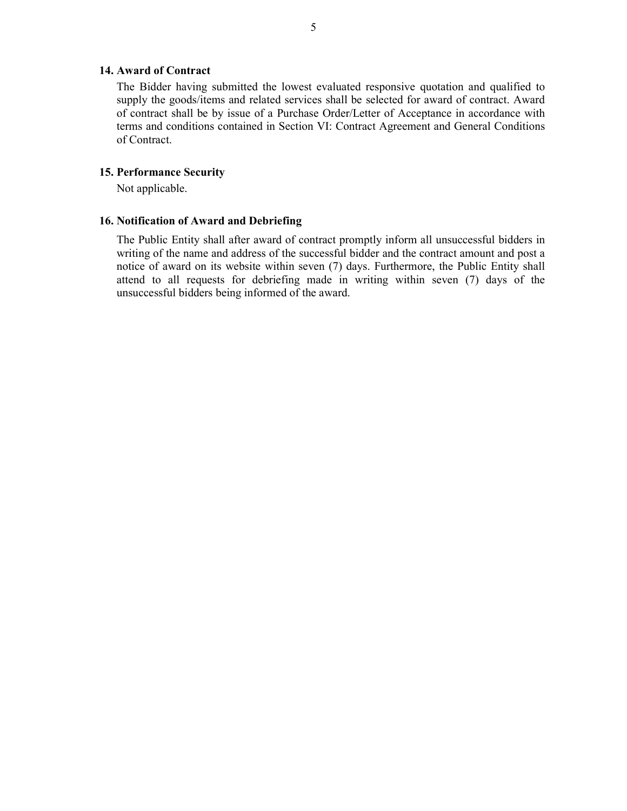#### **14. Award of Contract**

 The Bidder having submitted the lowest evaluated responsive quotation and qualified to supply the goods/items and related services shall be selected for award of contract. Award of contract shall be by issue of a Purchase Order/Letter of Acceptance in accordance with terms and conditions contained in Section VI: Contract Agreement and General Conditions of Contract.

#### **15. Performance Security**

Not applicable.

#### **16. Notification of Award and Debriefing**

The Public Entity shall after award of contract promptly inform all unsuccessful bidders in writing of the name and address of the successful bidder and the contract amount and post a notice of award on its website within seven (7) days. Furthermore, the Public Entity shall attend to all requests for debriefing made in writing within seven (7) days of the unsuccessful bidders being informed of the award.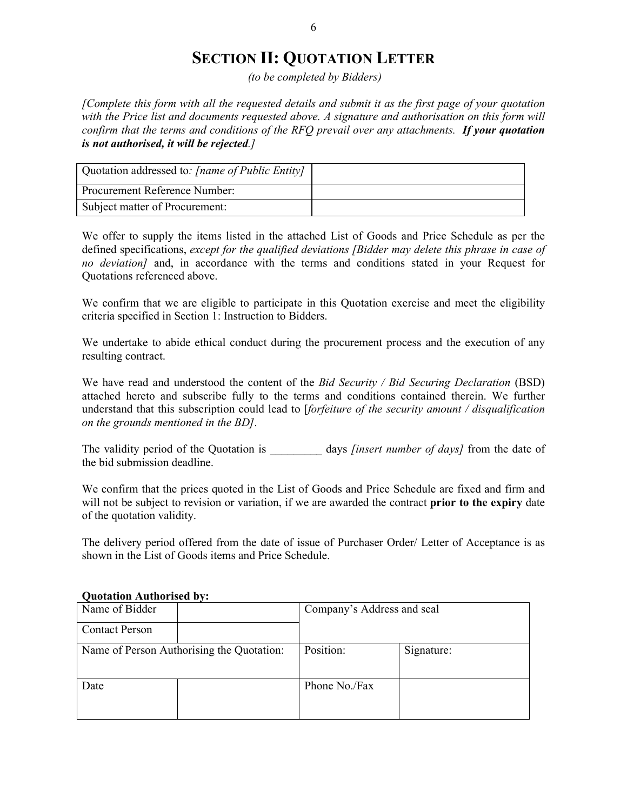### **SECTION II: QUOTATION LETTER**

 *(to be completed by Bidders)* 

*[Complete this form with all the requested details and submit it as the first page of your quotation with the Price list and documents requested above. A signature and authorisation on this form will confirm that the terms and conditions of the RFQ prevail over any attachments. If your quotation is not authorised, it will be rejected.]* 

| Quotation addressed to: [name of Public Entity] |  |
|-------------------------------------------------|--|
| Procurement Reference Number:                   |  |
| Subject matter of Procurement:                  |  |

We offer to supply the items listed in the attached List of Goods and Price Schedule as per the defined specifications, *except for the qualified deviations [Bidder may delete this phrase in case of no deviation]* and, in accordance with the terms and conditions stated in your Request for Quotations referenced above.

We confirm that we are eligible to participate in this Quotation exercise and meet the eligibility criteria specified in Section 1: Instruction to Bidders.

We undertake to abide ethical conduct during the procurement process and the execution of any resulting contract.

We have read and understood the content of the *Bid Security / Bid Securing Declaration* (BSD) attached hereto and subscribe fully to the terms and conditions contained therein. We further understand that this subscription could lead to [*forfeiture of the security amount / disqualification on the grounds mentioned in the BD]*.

The validity period of the Quotation is days *[insert number of days]* from the date of the bid submission deadline.

We confirm that the prices quoted in the List of Goods and Price Schedule are fixed and firm and will not be subject to revision or variation, if we are awarded the contract **prior to the expiry** date of the quotation validity.

The delivery period offered from the date of issue of Purchaser Order/ Letter of Acceptance is as shown in the List of Goods items and Price Schedule.

| Name of Bidder        |                                           | Company's Address and seal |            |  |  |  |  |  |
|-----------------------|-------------------------------------------|----------------------------|------------|--|--|--|--|--|
| <b>Contact Person</b> |                                           |                            |            |  |  |  |  |  |
|                       | Name of Person Authorising the Quotation: | Position:                  | Signature: |  |  |  |  |  |
| Date                  |                                           | Phone No./Fax              |            |  |  |  |  |  |

#### **Quotation Authorised by:**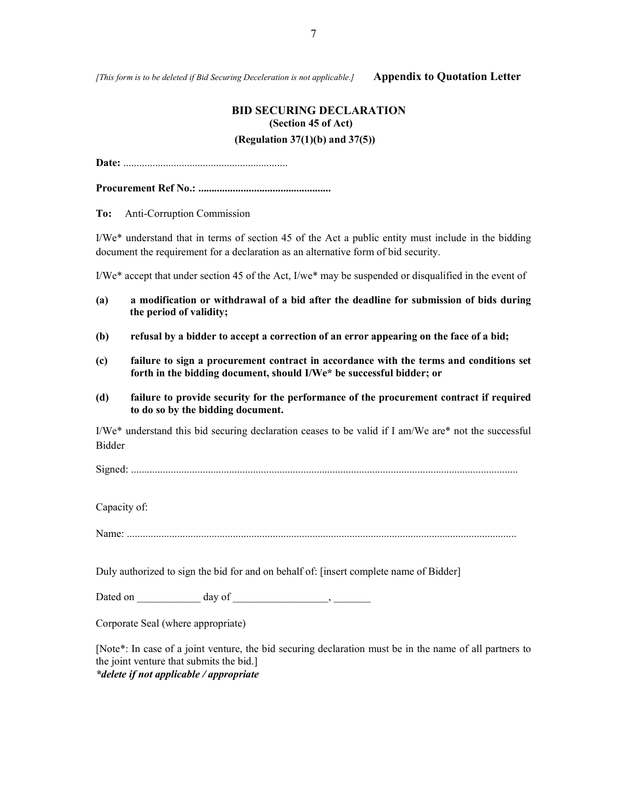*[This form is to be deleted if Bid Securing Deceleration is not applicable.]* **Appendix to Quotation Letter**

#### **BID SECURING DECLARATION (Section 45 of Act) (Regulation 37(1)(b) and 37(5))**

**Date:** ..............................................................

**Procurement Ref No.: ..................................................** 

**To:** Anti-Corruption Commission

I/We\* understand that in terms of section 45 of the Act a public entity must include in the bidding document the requirement for a declaration as an alternative form of bid security.

I/We\* accept that under section 45 of the Act, I/we\* may be suspended or disqualified in the event of

- **(a) a modification or withdrawal of a bid after the deadline for submission of bids during the period of validity;**
- **(b) refusal by a bidder to accept a correction of an error appearing on the face of a bid;**
- **(c) failure to sign a procurement contract in accordance with the terms and conditions set forth in the bidding document, should I/We\* be successful bidder; or**
- **(d) failure to provide security for the performance of the procurement contract if required to do so by the bidding document.**

I/We\* understand this bid securing declaration ceases to be valid if I am/We are\* not the successful Bidder

Signed: ..................................................................................................................................................

Capacity of:

Name: ...................................................................................................................................................

Duly authorized to sign the bid for and on behalf of: [insert complete name of Bidder]

Dated on \_\_\_\_\_\_\_\_\_\_\_\_ day of \_\_\_\_\_\_\_\_\_\_\_\_\_\_\_\_\_\_, \_\_\_\_\_\_\_

Corporate Seal (where appropriate)

[Note\*: In case of a joint venture, the bid securing declaration must be in the name of all partners to the joint venture that submits the bid.] *\*delete if not applicable / appropriate*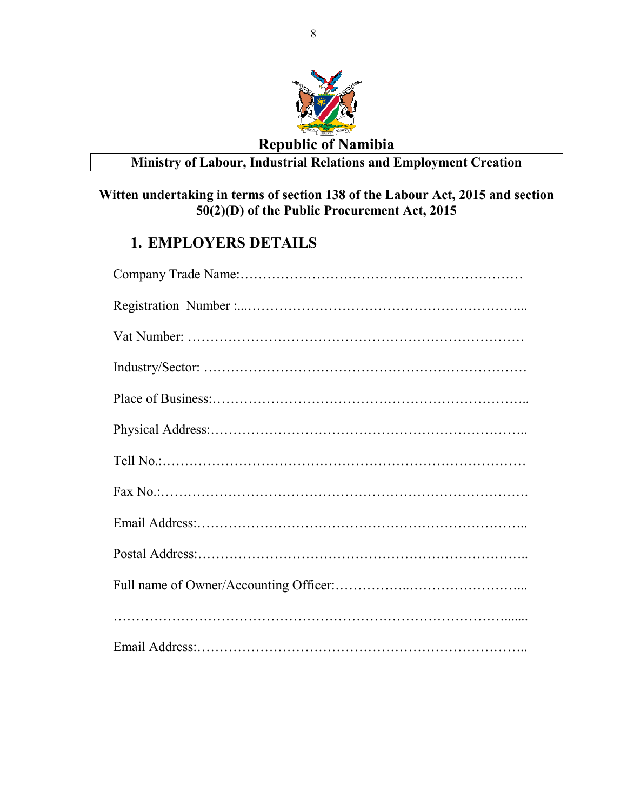

### **Republic of Namibia Ministry of Labour, Industrial Relations and Employment Creation**

### **Witten undertaking in terms of section 138 of the Labour Act, 2015 and section 50(2)(D) of the Public Procurement Act, 2015**

### **1. EMPLOYERS DETAILS**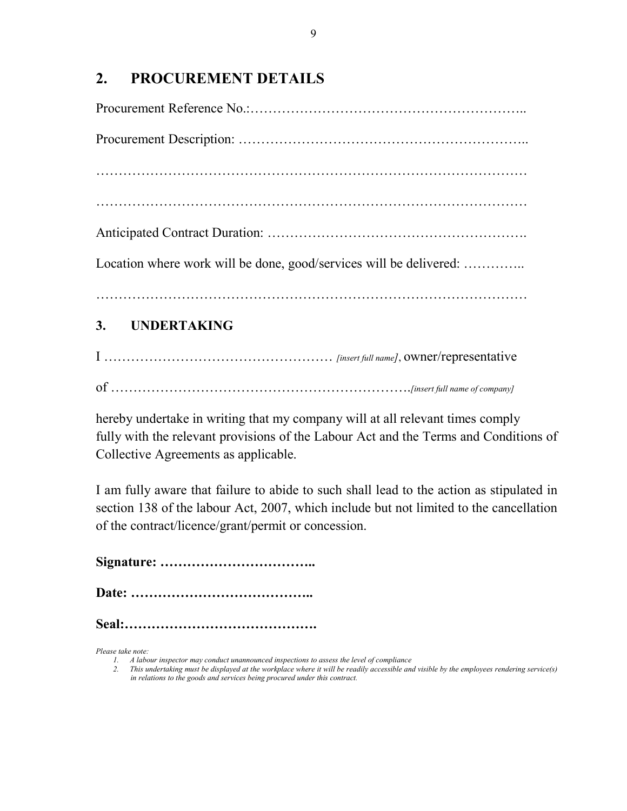### **2. PROCUREMENT DETAILS**

| Location where work will be done, good/services will be delivered: |
|--------------------------------------------------------------------|
| 3. UNDERTAKING                                                     |

I …………………………………………… *[insert full name]*, owner/representative of ………………………………………………………….*[insert full name of company]* 

hereby undertake in writing that my company will at all relevant times comply fully with the relevant provisions of the Labour Act and the Terms and Conditions of Collective Agreements as applicable.

I am fully aware that failure to abide to such shall lead to the action as stipulated in section 138 of the labour Act, 2007, which include but not limited to the cancellation of the contract/licence/grant/permit or concession.

**Signature: ……………………………..** 

**Date: …………………………………..** 

**Seal:…………………………………….** 

*Please take note:* 

*<sup>1.</sup> A labour inspector may conduct unannounced inspections to assess the level of compliance* 

*<sup>2.</sup> This undertaking must be displayed at the workplace where it will be readily accessible and visible by the employees rendering service(s) in relations to the goods and services being procured under this contract.*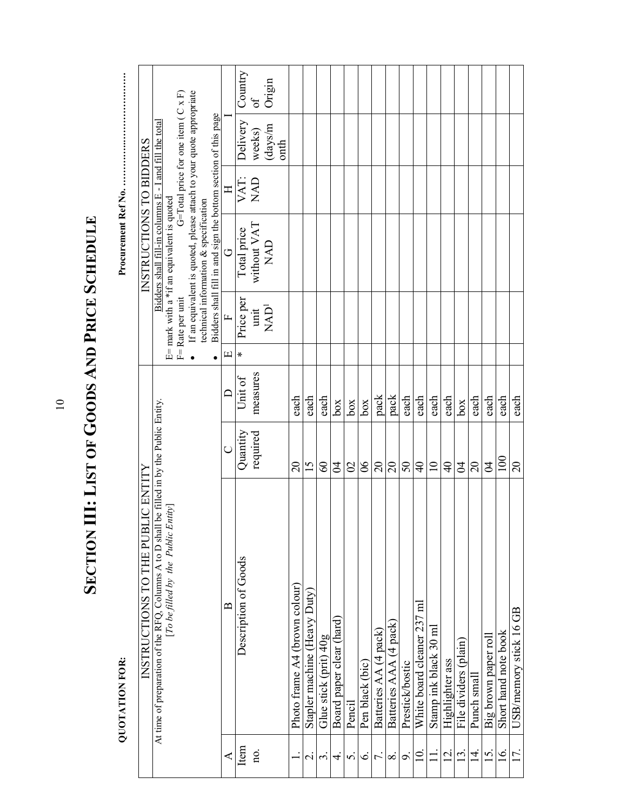|                | <b>QUOTATION FOR:</b>                                                                                                             |                 |                                |                  |                             |                                                                                                           |              |                                             |          |
|----------------|-----------------------------------------------------------------------------------------------------------------------------------|-----------------|--------------------------------|------------------|-----------------------------|-----------------------------------------------------------------------------------------------------------|--------------|---------------------------------------------|----------|
|                | INSTRUCTIONS TO THE PUBLIC ENTITY                                                                                                 |                 |                                |                  |                             | INSTRUCTIONS TO BIDDERS                                                                                   |              |                                             |          |
|                | At time of preparation of the RFQ, Columns A to D shall be filled in by the Public Entity.<br>[To be filled by the Public Entity] |                 |                                |                  |                             | Bidders shall fill-in columns E - I<br>E= mark with a *if an equivalent is quoted                         |              | and fill the total                          |          |
|                |                                                                                                                                   |                 |                                | F= Rate per unit |                             |                                                                                                           |              | G=Total price for one item ( $C \times F$ ) |          |
|                |                                                                                                                                   |                 |                                |                  |                             | If an equivalent is quoted, please attach to your quote appropriate technical information & specification |              |                                             |          |
|                |                                                                                                                                   |                 |                                |                  |                             | Bidders shall fill in and sign the bottom section of this page                                            |              |                                             |          |
| ⋖              | $\approx$                                                                                                                         |                 |                                | щ                | $\overline{L}$              | G                                                                                                         | $\mathbb{H}$ |                                             |          |
| Item           | Description of Goods                                                                                                              | Quantity        | Unit of                        | $\ast$           | Price per                   | Total price                                                                                               | VAT:         | Delivery                                    | Country  |
| no.            |                                                                                                                                   | required        | measures                       |                  | unit                        | without VAT                                                                                               | <b>UVN</b>   | weeks)                                      | $\sigma$ |
|                |                                                                                                                                   |                 |                                |                  | $\ensuremath{\text{NAD}}^1$ | <b>UAN</b>                                                                                                |              | ${\rm (days/m)}$                            | Origin   |
|                |                                                                                                                                   |                 |                                |                  |                             |                                                                                                           |              |                                             |          |
|                | Photo frame A4 (brown colour)                                                                                                     | $\overline{c}$  | each                           |                  |                             |                                                                                                           |              |                                             |          |
| $\sim$         | Stapler machine (Heavy Duty)                                                                                                      | 15              | each                           |                  |                             |                                                                                                           |              |                                             |          |
| $\sim$         | Glue stick (prit) 40g                                                                                                             | 60              | each                           |                  |                             |                                                                                                           |              |                                             |          |
| 4.             | Board paper clear (hard)                                                                                                          | $\mathfrak{A}$  | $\log$                         |                  |                             |                                                                                                           |              |                                             |          |
| s.             | Pencil                                                                                                                            | $\frac{1}{2}$   | box                            |                  |                             |                                                                                                           |              |                                             |          |
| $\dot{\circ}$  | Pen black (bic)                                                                                                                   | $\infty$        | box                            |                  |                             |                                                                                                           |              |                                             |          |
| $\overline{r}$ | Batteries AA (4 pack)                                                                                                             | $\overline{20}$ | pack                           |                  |                             |                                                                                                           |              |                                             |          |
| $\infty$       | Batteries AAA (4 pack)                                                                                                            | 20              | pack                           |                  |                             |                                                                                                           |              |                                             |          |
| $\sim$         | Prestick/bostic                                                                                                                   | $50\,$          | $\frac{\text{each}}{\text{c}}$ |                  |                             |                                                                                                           |              |                                             |          |
| $\Xi$          | White board cleaner 237 ml                                                                                                        | $\overline{4}$  | each                           |                  |                             |                                                                                                           |              |                                             |          |
|                | Stamp ink black 30 ml                                                                                                             | $\overline{10}$ | each                           |                  |                             |                                                                                                           |              |                                             |          |
| $\bar{\omega}$ | Highlighter ass                                                                                                                   | $\overline{4}$  | each                           |                  |                             |                                                                                                           |              |                                             |          |
| <u>13.</u>     | File dividers (plain)                                                                                                             | $\mathfrak{A}$  | box                            |                  |                             |                                                                                                           |              |                                             |          |
| 14.            | Punch small                                                                                                                       | $\Omega$        | each                           |                  |                             |                                                                                                           |              |                                             |          |
| $15$ .         | Big brown paper roll                                                                                                              | $\beta$         | $\frac{each}{\sqrt{2}}$        |                  |                             |                                                                                                           |              |                                             |          |
| <u>i6</u> .    | Short hand note book                                                                                                              | 100             | each                           |                  |                             |                                                                                                           |              |                                             |          |
| 17.            | USB/memory stick 16 GB                                                                                                            | $\overline{c}$  | each                           |                  |                             |                                                                                                           |              |                                             |          |

SECTION III: LIST OF GOODS AND PRICE SCHEDULE **SECTION III: LIST OF GOODS AND PRICE SCHEDULE**

10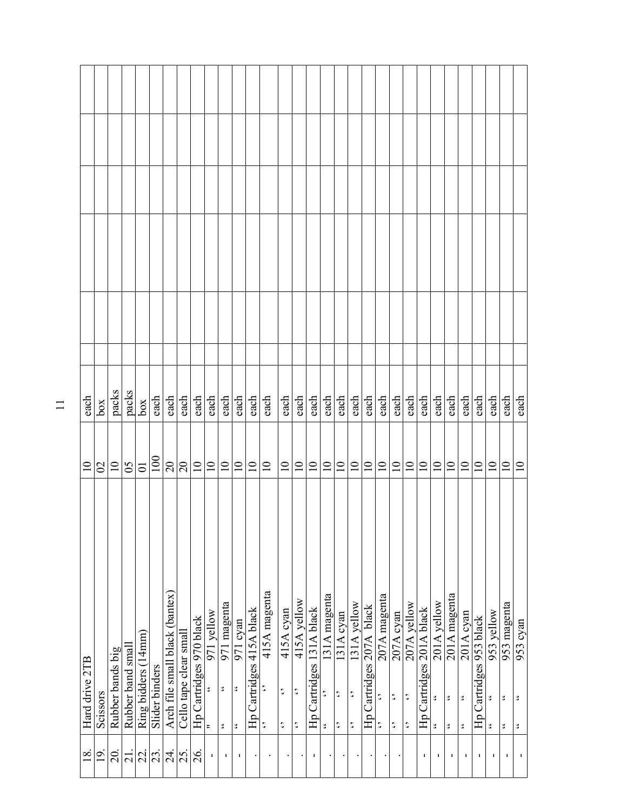| each            | box            | packs            | packs             | 300 <sup>2</sup>    | each           | each                           | each                   | each                     | each                                      | each                                          | each                                                                  | each                     | $\operatorname{\sf each}$      | each                                          | each                                            | each                     | each                                                   | each                                                      | each                                            | each                     | $rac{\text{ch}}{\text{cach}}$                            | each                                                  | each                                                  | each                     | each                                                        | each                                                  | $\mathop{\rm each}\nolimits$                              | each                                   | each                                                       | each                    | each                                                 |
|-----------------|----------------|------------------|-------------------|---------------------|----------------|--------------------------------|------------------------|--------------------------|-------------------------------------------|-----------------------------------------------|-----------------------------------------------------------------------|--------------------------|--------------------------------|-----------------------------------------------|-------------------------------------------------|--------------------------|--------------------------------------------------------|-----------------------------------------------------------|-------------------------------------------------|--------------------------|----------------------------------------------------------|-------------------------------------------------------|-------------------------------------------------------|--------------------------|-------------------------------------------------------------|-------------------------------------------------------|-----------------------------------------------------------|----------------------------------------|------------------------------------------------------------|-------------------------|------------------------------------------------------|
| $\overline{10}$ | $\mathfrak{S}$ | $\overline{10}$  | 65                | $\overline{0}$      | 100            | $\overline{20}$                | $20\,$                 | $\overline{\phantom{0}}$ | $\overline{10}$                           | $\overline{10}$                               | $\overline{10}$                                                       | $\Xi$                    | $\Xi$                          | $\Xi$                                         | $\overline{10}$                                 | $\overline{10}$          | $\Xi$                                                  | $\overline{10}$                                           | $\Xi$                                           | $\overline{10}$          | $\overline{10}$                                          | $\overline{10}$                                       | $\overline{10}$                                       | $\overline{10}$          | $\overline{10}$                                             | $\overline{10}$                                       | $\overline{10}$                                           | $\overline{10}$                        | $\overline{10}$                                            | $\Xi$                   | $\overline{10}$                                      |
| Hard drive 2TB  | Scissors       | Rubber bands big | Rubber band small | Ring bidders (14mm) | Slider binders | Arch file small black (bantex) | Cello tape clear small | Hp Cartridges 970 black  | 971 yellow<br>٠,<br>$\mathop{\mathsf{t}}$ | 971 magenta<br>$\mathcal{L}$<br>$\mathcal{L}$ | $\overline{971}$ cyan<br>$\ddot{\phantom{0}}$<br>$\ddot{\phantom{0}}$ | Hp Cartridges 415A black | 415A magenta<br>$\ddot{\cdot}$ | 415A cyan<br>$\ddot{\cdot}$<br>$\ddot{\cdot}$ | 415A yellow<br>$\ddot{\cdot}$<br>$\ddot{\cdot}$ | Hp Cartridges 131A black | 131A magenta<br>$\ddot{\cdot}$<br>$\ddot{\phantom{0}}$ | 131A cyan<br>$\ddot{\phantom{0}}$<br>$\ddot{\phantom{0}}$ | 131A yellow<br>$\ddot{\cdot}$<br>$\ddot{\cdot}$ | Hp Cartridges 207A black | $207A$ magenta<br>$\ddot{\cdot}$<br>$\ddot{\phantom{0}}$ | $207A$ cyan<br>$\ddot{\cdot}$<br>$\ddot{\phantom{0}}$ | 207A yellow<br>$\ddot{\cdot}$<br>$\ddot{\phantom{0}}$ | Hp Cartridges 201A black | 201A yellow<br>$\ddot{\phantom{0}}$<br>$\ddot{\phantom{0}}$ | 201A magenta<br>$\mathcal{L}$<br>$\ddot{\phantom{0}}$ | 201A cyan<br>$\ddot{\phantom{0}}$<br>$\ddot{\phantom{0}}$ | Cartridges 953 black<br>$\overline{H}$ | 953 yellow<br>$\ddot{\phantom{0}}$<br>$\ddot{\phantom{0}}$ | 953 magenta<br>٥.<br>٥. | 953 cyan<br>$\ddot{\phantom{0}}$<br>$\ddot{\bullet}$ |
| $\frac{8}{18}$  | $\overline{9}$ | $\overline{20}$  | $\overline{21}$ . | $\frac{22}{23}$     |                |                                | 24.                    | 26.                      | I.                                        | $\mathbf{I}$                                  | 1                                                                     |                          |                                |                                               |                                                 | т                        |                                                        |                                                           |                                                 |                          |                                                          |                                                       |                                                       | ٠                        | ٠                                                           | т.                                                    | л.                                                        | J.                                     | J.                                                         | $\blacksquare$          | $\mathbf{I}_\perp$                                   |

11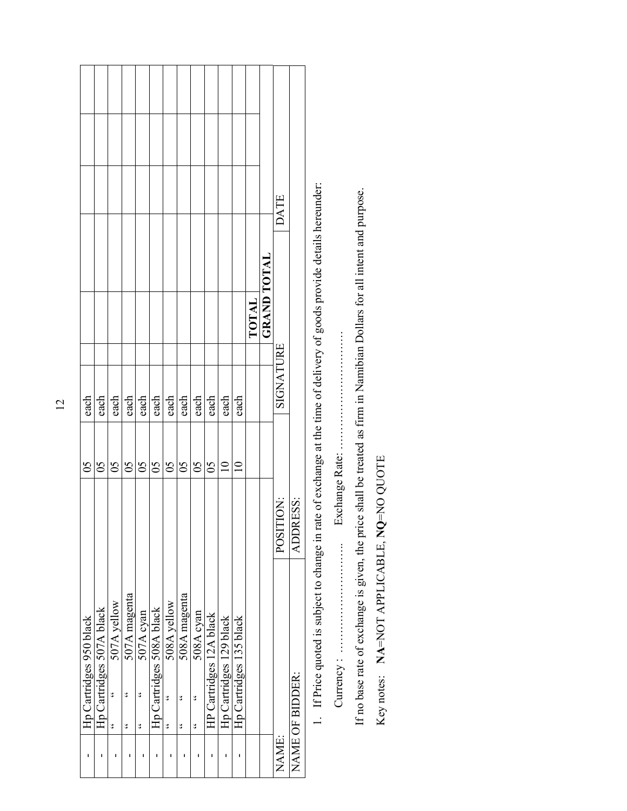| ı     | Hp Cartridges 950 black  |           | $\mathcal{S}$   | each      |       |                    |      |  |
|-------|--------------------------|-----------|-----------------|-----------|-------|--------------------|------|--|
| I     | Hp Cartridges 507A black |           | $\mathcal{S}$   | each      |       |                    |      |  |
|       | 507A yellow<br>ی         |           | $\mathcal{S}$   | each      |       |                    |      |  |
| ı     | 507A magenta<br>٤<br>٠,  |           | $\mathfrak{S}$  | each      |       |                    |      |  |
|       | 507A cyan<br>ی<br>ی      |           | $\mathcal{S}$   | each      |       |                    |      |  |
|       | Hp Cartridges 508A black |           | $\mathcal{S}^0$ | each      |       |                    |      |  |
|       | 508A yellow<br>٥.<br>ی   |           | $\mathcal{S}^0$ | each      |       |                    |      |  |
| ı     | 508A magenta<br>٤<br>ی   |           | $\overline{0}$  | each      |       |                    |      |  |
|       | 508A cyan<br>ئ<br>پ      |           | $\mathcal{S}$   | each      |       |                    |      |  |
|       | HP Cartridges 12A black  |           | $\mathcal{S}$   | each      |       |                    |      |  |
|       | Hp Cartridges 129 black  |           | $\supseteq$     | each      |       |                    |      |  |
| ı     | Hp Cartridges 135 black  |           | $\overline{10}$ | each      |       |                    |      |  |
|       |                          |           |                 |           | TOTAL |                    |      |  |
|       |                          |           |                 |           |       | <b>GRAND TOTAL</b> |      |  |
| NAME: |                          | POSITION: |                 | SIGNATURE |       |                    | DATE |  |
|       | NAME OF BIDDER:          | ADDRESS:  |                 |           |       |                    |      |  |

1. If Price quoted is subject to change in rate of exchange at the time of delivery of goods provide details hereunder: 1. If Price quoted is subject to change in rate of exchange at the time of delivery of goods provide details hereunder:

Currency : ……………………….. Exchange Rate: ………………………….

If no base rate of exchange is given, the price shall be treated as firm in Namibian Dollars for all intent and purpose. If no base rate of exchange is given, the price shall be treated as firm in Namibian Dollars for all intent and purpose.

Key notes: NA=NOT APPLICABLE, NQ=NO QUOTE Key notes: **NA**=NOT APPLICABLE, **NQ**=NO QUOTE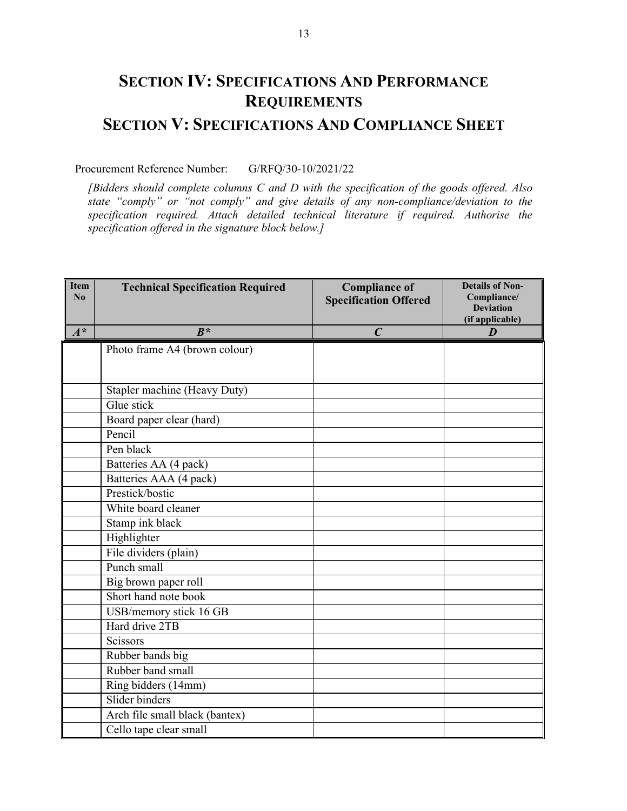## **SECTION IV: SPECIFICATIONS AND PERFORMANCE REQUIREMENTS**

### **SECTION V: SPECIFICATIONS AND COMPLIANCE SHEET**

#### Procurement Reference Number: G/RFQ/30-10/2021/22

 *[Bidders should complete columns C and D with the specification of the goods offered. Also state "comply" or "not comply" and give details of any non-compliance/deviation to the specification required. Attach detailed technical literature if required. Authorise the specification offered in the signature block below.]* 

| <b>Item</b><br>No | <b>Technical Specification Required</b> | <b>Compliance of</b><br><b>Specification Offered</b> | <b>Details of Non-</b><br>Compliance/<br><b>Deviation</b><br>(if applicable) |
|-------------------|-----------------------------------------|------------------------------------------------------|------------------------------------------------------------------------------|
| $A^*$             | $B^*$                                   | $\boldsymbol{C}$                                     | D                                                                            |
|                   | Photo frame A4 (brown colour)           |                                                      |                                                                              |
|                   |                                         |                                                      |                                                                              |
|                   | Stapler machine (Heavy Duty)            |                                                      |                                                                              |
|                   | Glue stick                              |                                                      |                                                                              |
|                   |                                         |                                                      |                                                                              |
|                   | Board paper clear (hard)<br>Pencil      |                                                      |                                                                              |
|                   | Pen black                               |                                                      |                                                                              |
|                   |                                         |                                                      |                                                                              |
|                   | Batteries AA (4 pack)                   |                                                      |                                                                              |
|                   | Batteries AAA (4 pack)                  |                                                      |                                                                              |
|                   | Prestick/bostic                         |                                                      |                                                                              |
|                   | White board cleaner                     |                                                      |                                                                              |
|                   | Stamp ink black                         |                                                      |                                                                              |
|                   | Highlighter                             |                                                      |                                                                              |
|                   | File dividers (plain)                   |                                                      |                                                                              |
|                   | Punch small                             |                                                      |                                                                              |
|                   | Big brown paper roll                    |                                                      |                                                                              |
|                   | Short hand note book                    |                                                      |                                                                              |
|                   | USB/memory stick 16 GB                  |                                                      |                                                                              |
|                   | Hard drive 2TB                          |                                                      |                                                                              |
|                   | Scissors                                |                                                      |                                                                              |
|                   | Rubber bands big                        |                                                      |                                                                              |
|                   | Rubber band small                       |                                                      |                                                                              |
|                   | Ring bidders (14mm)                     |                                                      |                                                                              |
|                   | Slider binders                          |                                                      |                                                                              |
|                   | Arch file small black (bantex)          |                                                      |                                                                              |
|                   | Cello tape clear small                  |                                                      |                                                                              |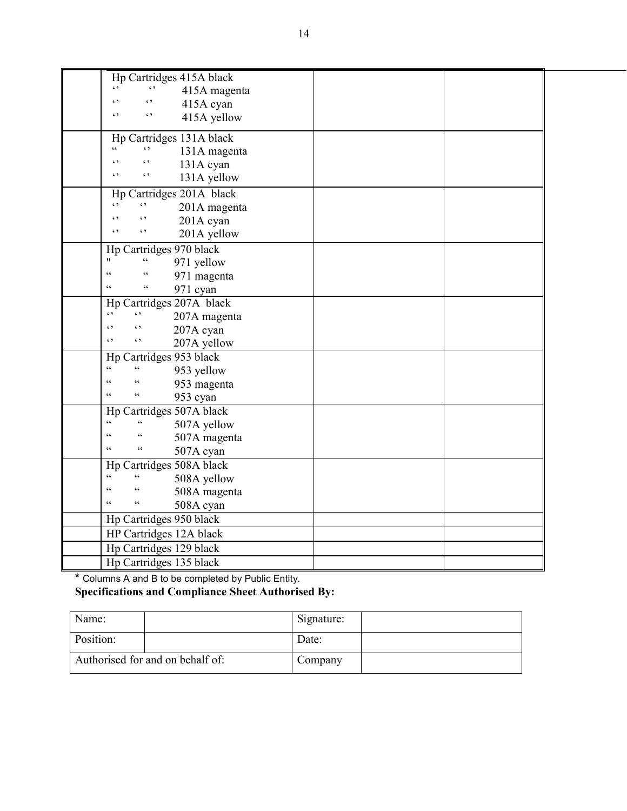| Hp Cartridges 415A black<br>$\epsilon$ ,                                               |  |
|----------------------------------------------------------------------------------------|--|
| 415A magenta<br>$\epsilon$ ,                                                           |  |
| 415A cyan                                                                              |  |
| $\epsilon$<br>$\epsilon$ ,<br>415A yellow                                              |  |
| Hp Cartridges 131A black                                                               |  |
| $\epsilon$<br>$\ddot{\phantom{0}}$<br>131A magenta                                     |  |
| $\epsilon$ ,<br>131A cyan                                                              |  |
| $\epsilon$<br>$\epsilon$ ,<br>131A yellow                                              |  |
| Hp Cartridges 201A black                                                               |  |
| $\epsilon$ ,<br>$\epsilon$ ,<br>201A magenta                                           |  |
| $\epsilon$<br>201A cyan                                                                |  |
| $\epsilon$ ,<br>$\epsilon$ ,<br>201A yellow                                            |  |
| Hp Cartridges 970 black                                                                |  |
| $\epsilon$<br>11<br>971 yellow                                                         |  |
| $\epsilon$<br>$\epsilon$<br>971 magenta                                                |  |
| $\epsilon$<br>$\epsilon$<br>971 cyan                                                   |  |
| Hp Cartridges 207A black                                                               |  |
| $\epsilon$ ,<br>$\ddot{\phantom{0}}$<br>207A magenta                                   |  |
| $\epsilon$ ,<br>$\epsilon$ ,<br>207A cyan                                              |  |
| $\epsilon$ ,<br>$\epsilon$ ,<br>207A yellow                                            |  |
| Hp Cartridges 953 black                                                                |  |
| $\epsilon$<br>$\zeta$ $\zeta$<br>953 yellow                                            |  |
| $\epsilon$<br>953 magenta                                                              |  |
| $\epsilon$ $\epsilon$<br>$\boldsymbol{\varsigma}$ $\boldsymbol{\varsigma}$<br>953 cyan |  |
| Hp Cartridges 507A black                                                               |  |
| $\epsilon$<br>$\epsilon$<br>507A yellow                                                |  |
| 66<br>507A magenta                                                                     |  |
| $\boldsymbol{\varsigma}$ $\boldsymbol{\varsigma}$<br>$\zeta\,\zeta$<br>507A cyan       |  |
| Hp Cartridges 508A black                                                               |  |
| $\epsilon$<br>66<br>508A yellow                                                        |  |
| $\epsilon$<br>508A magenta                                                             |  |
| $\zeta$ $\zeta$<br>$\zeta \, \zeta$<br>508A cyan                                       |  |
| Hp Cartridges 950 black                                                                |  |
| HP Cartridges 12A black                                                                |  |
| Hp Cartridges 129 black                                                                |  |
| Hp Cartridges 135 black                                                                |  |

**\*** Columns A and B to be completed by Public Entity.

#### **Specifications and Compliance Sheet Authorised By:**

| Name:     |                                  | Signature: |  |
|-----------|----------------------------------|------------|--|
| Position: |                                  | Date:      |  |
|           | Authorised for and on behalf of: | Company    |  |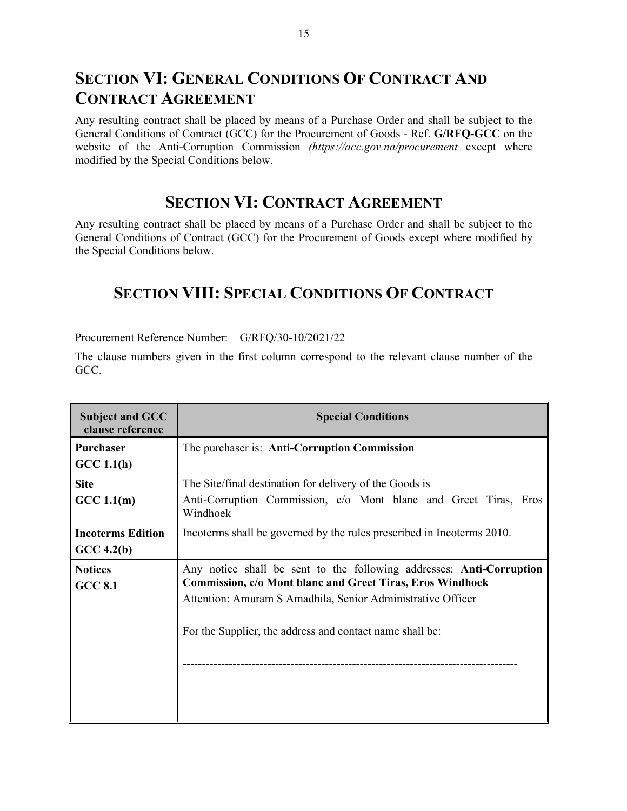### **SECTION VI: GENERAL CONDITIONS OF CONTRACT AND CONTRACT AGREEMENT**

Any resulting contract shall be placed by means of a Purchase Order and shall be subject to the General Conditions of Contract (GCC) for the Procurement of Goods - Ref. **G/RFQ-GCC** on the website of the Anti-Corruption Commission *(https://acc.gov.na/procurement* except where modified by the Special Conditions below.

### **SECTION VI: CONTRACT AGREEMENT**

Any resulting contract shall be placed by means of a Purchase Order and shall be subject to the General Conditions of Contract (GCC) for the Procurement of Goods except where modified by the Special Conditions below.

### **SECTION VIII: SPECIAL CONDITIONS OF CONTRACT**

Procurement Reference Number: G/RFQ/30-10/2021/22

The clause numbers given in the first column correspond to the relevant clause number of the GCC.

| <b>Subject and GCC</b><br>clause reference | <b>Special Conditions</b>                                                                                                                                                                                                                                                  |
|--------------------------------------------|----------------------------------------------------------------------------------------------------------------------------------------------------------------------------------------------------------------------------------------------------------------------------|
| Purchaser<br>GCC 1.1(h)                    | The purchaser is: Anti-Corruption Commission                                                                                                                                                                                                                               |
| <b>Site</b><br>GCC 1.1(m)                  | The Site/final destination for delivery of the Goods is<br>Anti-Corruption Commission, c/o Mont blanc and Greet Tiras, Eros<br>Windhoek                                                                                                                                    |
| <b>Incoterms Edition</b><br>$GCC\ 4.2(b)$  | Incoterms shall be governed by the rules prescribed in Incoterms 2010.                                                                                                                                                                                                     |
| <b>Notices</b><br><b>GCC 8.1</b>           | Any notice shall be sent to the following addresses: <b>Anti-Corruption</b><br><b>Commission, c/o Mont blanc and Greet Tiras, Eros Windhoek</b><br>Attention: Amuram S Amadhila, Senior Administrative Officer<br>For the Supplier, the address and contact name shall be: |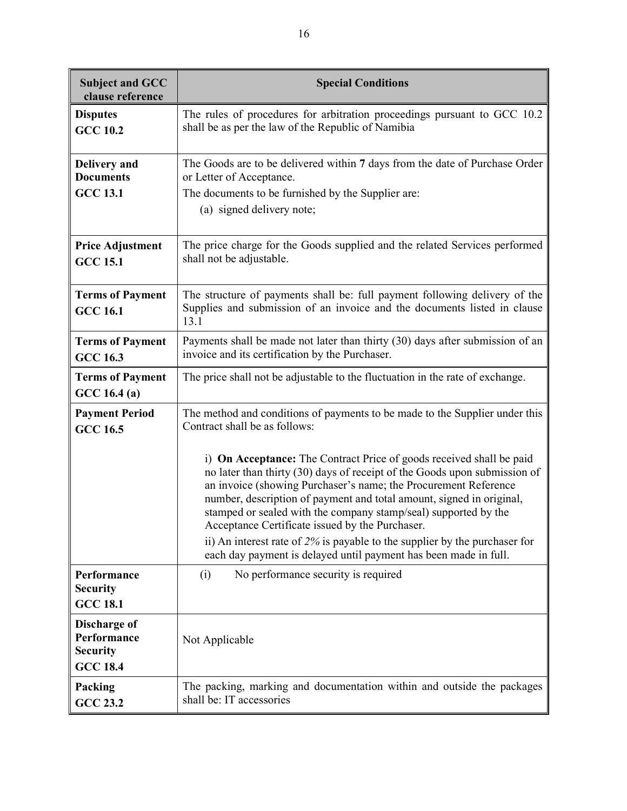| <b>Subject and GCC</b><br>clause reference                        | <b>Special Conditions</b>                                                                                                                                                                                                                                                                                                                                                                                                                                                                           |
|-------------------------------------------------------------------|-----------------------------------------------------------------------------------------------------------------------------------------------------------------------------------------------------------------------------------------------------------------------------------------------------------------------------------------------------------------------------------------------------------------------------------------------------------------------------------------------------|
| <b>Disputes</b><br><b>GCC 10.2</b>                                | The rules of procedures for arbitration proceedings pursuant to GCC 10.2<br>shall be as per the law of the Republic of Namibia                                                                                                                                                                                                                                                                                                                                                                      |
| <b>Delivery</b> and<br><b>Documents</b><br><b>GCC 13.1</b>        | The Goods are to be delivered within 7 days from the date of Purchase Order<br>or Letter of Acceptance.<br>The documents to be furnished by the Supplier are:<br>(a) signed delivery note;                                                                                                                                                                                                                                                                                                          |
| <b>Price Adjustment</b><br><b>GCC 15.1</b>                        | The price charge for the Goods supplied and the related Services performed<br>shall not be adjustable.                                                                                                                                                                                                                                                                                                                                                                                              |
| <b>Terms of Payment</b><br><b>GCC 16.1</b>                        | The structure of payments shall be: full payment following delivery of the<br>Supplies and submission of an invoice and the documents listed in clause<br>13.1                                                                                                                                                                                                                                                                                                                                      |
| <b>Terms of Payment</b><br><b>GCC 16.3</b>                        | Payments shall be made not later than thirty (30) days after submission of an<br>invoice and its certification by the Purchaser.                                                                                                                                                                                                                                                                                                                                                                    |
| <b>Terms of Payment</b><br>GCC 16.4(a)                            | The price shall not be adjustable to the fluctuation in the rate of exchange.                                                                                                                                                                                                                                                                                                                                                                                                                       |
| <b>Payment Period</b><br><b>GCC 16.5</b>                          | The method and conditions of payments to be made to the Supplier under this<br>Contract shall be as follows:                                                                                                                                                                                                                                                                                                                                                                                        |
|                                                                   | i) On Acceptance: The Contract Price of goods received shall be paid<br>no later than thirty (30) days of receipt of the Goods upon submission of<br>an invoice (showing Purchaser's name; the Procurement Reference<br>number, description of payment and total amount, signed in original,<br>stamped or sealed with the company stamp/seal) supported by the<br>Acceptance Certificate issued by the Purchaser.<br>ii) An interest rate of $2\%$ is payable to the supplier by the purchaser for |
|                                                                   | each day payment is delayed until payment has been made in full.                                                                                                                                                                                                                                                                                                                                                                                                                                    |
| Performance<br><b>Security</b><br><b>GCC 18.1</b>                 | No performance security is required<br>(i)                                                                                                                                                                                                                                                                                                                                                                                                                                                          |
| Discharge of<br>Performance<br><b>Security</b><br><b>GCC 18.4</b> | Not Applicable                                                                                                                                                                                                                                                                                                                                                                                                                                                                                      |
| Packing<br><b>GCC 23.2</b>                                        | The packing, marking and documentation within and outside the packages<br>shall be: IT accessories                                                                                                                                                                                                                                                                                                                                                                                                  |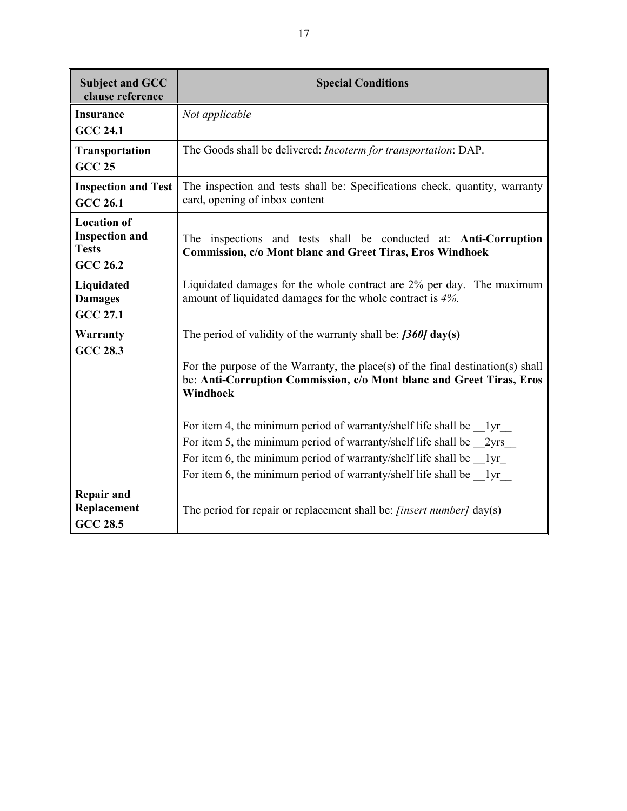| <b>Subject and GCC</b><br>clause reference                                     | <b>Special Conditions</b>                                                                                                                                                                                                                                                             |  |
|--------------------------------------------------------------------------------|---------------------------------------------------------------------------------------------------------------------------------------------------------------------------------------------------------------------------------------------------------------------------------------|--|
| <b>Insurance</b><br><b>GCC 24.1</b>                                            | Not applicable                                                                                                                                                                                                                                                                        |  |
| Transportation<br><b>GCC 25</b>                                                | The Goods shall be delivered: Incoterm for transportation: DAP.                                                                                                                                                                                                                       |  |
| <b>Inspection and Test</b><br><b>GCC 26.1</b>                                  | The inspection and tests shall be: Specifications check, quantity, warranty<br>card, opening of inbox content                                                                                                                                                                         |  |
| <b>Location of</b><br><b>Inspection and</b><br><b>Tests</b><br><b>GCC 26.2</b> | The inspections and tests shall be conducted at: Anti-Corruption<br>Commission, c/o Mont blanc and Greet Tiras, Eros Windhoek                                                                                                                                                         |  |
| Liquidated<br><b>Damages</b><br><b>GCC 27.1</b>                                | Liquidated damages for the whole contract are 2% per day. The maximum<br>amount of liquidated damages for the whole contract is 4%.                                                                                                                                                   |  |
| Warranty<br><b>GCC 28.3</b>                                                    | The period of validity of the warranty shall be: $[360]$ day(s)<br>For the purpose of the Warranty, the place(s) of the final destination(s) shall<br>be: Anti-Corruption Commission, c/o Mont blanc and Greet Tiras, Eros<br>Windhoek                                                |  |
|                                                                                | For item 4, the minimum period of warranty/shelf life shall be lyr<br>For item 5, the minimum period of warranty/shelf life shall be 2yrs<br>For item 6, the minimum period of warranty/shelf life shall be lyr<br>For item 6, the minimum period of warranty/shelf life shall be 1yr |  |
| <b>Repair and</b><br>Replacement<br><b>GCC 28.5</b>                            | The period for repair or replacement shall be: <i>[insert number]</i> day(s)                                                                                                                                                                                                          |  |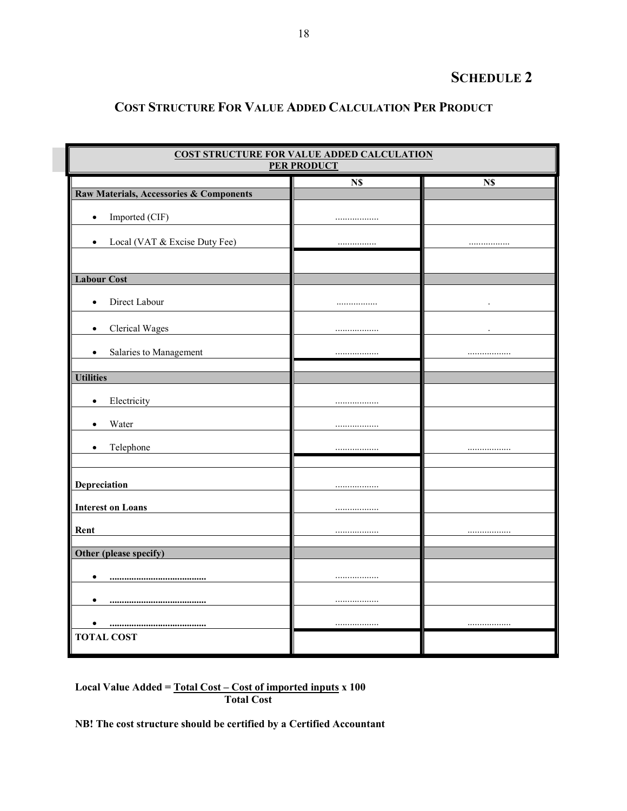### **SCHEDULE 2**

### **COST STRUCTURE FOR VALUE ADDED CALCULATION PER PRODUCT**

| <b>COST STRUCTURE FOR VALUE ADDED CALCULATION</b><br><b>PER PRODUCT</b> |     |     |  |  |
|-------------------------------------------------------------------------|-----|-----|--|--|
|                                                                         | N\$ | N\$ |  |  |
| Raw Materials, Accessories & Components                                 |     |     |  |  |
| Imported (CIF)<br>$\bullet$                                             |     |     |  |  |
| Local (VAT & Excise Duty Fee)<br>$\bullet$                              |     |     |  |  |
| <b>Labour Cost</b>                                                      |     |     |  |  |
| Direct Labour<br>$\bullet$                                              |     |     |  |  |
| Clerical Wages<br>$\bullet$                                             |     |     |  |  |
| Salaries to Management<br>$\bullet$                                     | .   |     |  |  |
| <b>Utilities</b>                                                        |     |     |  |  |
| Electricity<br>$\bullet$                                                | .   |     |  |  |
| Water<br>$\bullet$                                                      | .   |     |  |  |
| Telephone<br>$\bullet$                                                  |     |     |  |  |
| Depreciation                                                            | .   |     |  |  |
| <b>Interest on Loans</b>                                                |     |     |  |  |
| Rent                                                                    |     |     |  |  |
| Other (please specify)                                                  |     |     |  |  |
|                                                                         |     |     |  |  |
| $\bullet$<br>                                                           |     |     |  |  |
| ٠<br>                                                                   |     |     |  |  |
|                                                                         |     |     |  |  |
| <b>TOTAL COST</b>                                                       |     |     |  |  |

**Local Value Added = Total Cost – Cost of imported inputs x 100 Total Cost** 

**NB! The cost structure should be certified by a Certified Accountant**